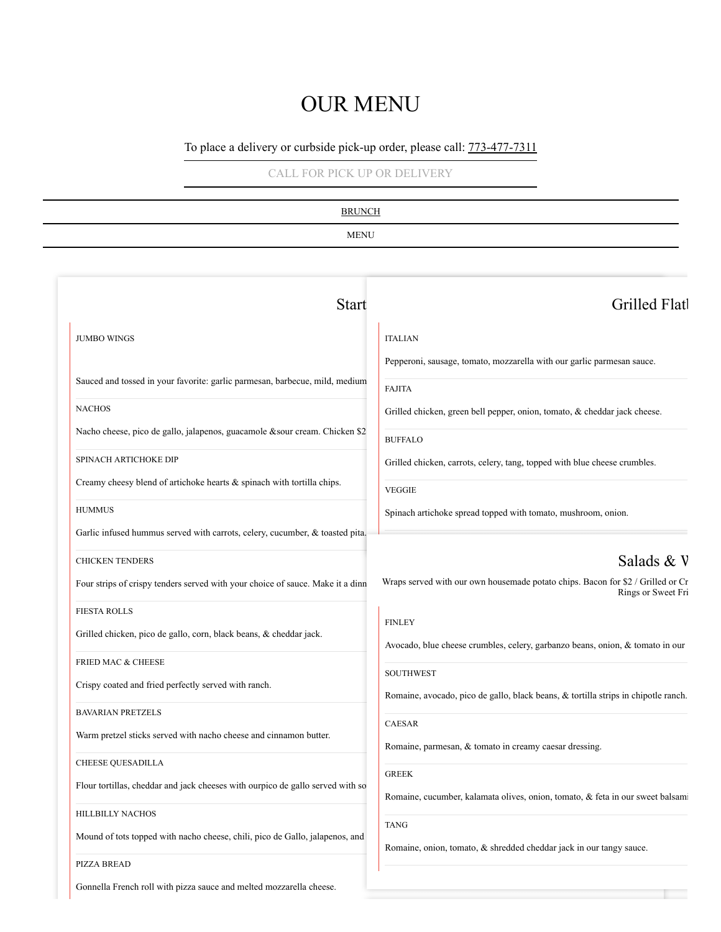## OUR MENU

## To place a delivery or curbside pick-up order, please call:  $773-477-7311$

[CALL FOR PICK UP OR DELIVERY](tel:+1773-477-7311)

| <b>BRUNCH</b><br><b>MENU</b>                                                   |                                                                                                       |  |                    |                |
|--------------------------------------------------------------------------------|-------------------------------------------------------------------------------------------------------|--|--------------------|----------------|
|                                                                                |                                                                                                       |  | <b>Start</b>       | Grilled Flatl  |
|                                                                                |                                                                                                       |  | <b>JUMBO WINGS</b> | <b>ITALIAN</b> |
| Sauced and tossed in your favorite: garlic parmesan, barbecue, mild, medium    | Pepperoni, sausage, tomato, mozzarella with our garlic parmesan sauce.<br><b>FAJITA</b>               |  |                    |                |
| <b>NACHOS</b>                                                                  | Grilled chicken, green bell pepper, onion, tomato, & cheddar jack cheese.                             |  |                    |                |
| Nacho cheese, pico de gallo, jalapenos, guacamole &sour cream. Chicken \$2     | <b>BUFFALO</b>                                                                                        |  |                    |                |
| SPINACH ARTICHOKE DIP                                                          | Grilled chicken, carrots, celery, tang, topped with blue cheese crumbles.                             |  |                    |                |
| Creamy cheesy blend of artichoke hearts & spinach with tortilla chips.         | <b>VEGGIE</b>                                                                                         |  |                    |                |
| <b>HUMMUS</b>                                                                  | Spinach artichoke spread topped with tomato, mushroom, onion.                                         |  |                    |                |
| Garlic infused hummus served with carrots, celery, cucumber, & toasted pita.   |                                                                                                       |  |                    |                |
| <b>CHICKEN TENDERS</b>                                                         | Salads & V                                                                                            |  |                    |                |
| Four strips of crispy tenders served with your choice of sauce. Make it a dinn | Wraps served with our own housemade potato chips. Bacon for \$2 / Grilled or Cr<br>Rings or Sweet Fri |  |                    |                |
| <b>FIESTA ROLLS</b>                                                            | <b>FINLEY</b>                                                                                         |  |                    |                |
| Grilled chicken, pico de gallo, corn, black beans, & cheddar jack.             | Avocado, blue cheese crumbles, celery, garbanzo beans, onion, & tomato in our                         |  |                    |                |
| FRIED MAC & CHEESE                                                             | SOUTHWEST                                                                                             |  |                    |                |
| Crispy coated and fried perfectly served with ranch.                           | Romaine, avocado, pico de gallo, black beans, & tortilla strips in chipotle ranch.                    |  |                    |                |
| <b>BAVARIAN PRETZELS</b>                                                       |                                                                                                       |  |                    |                |
| Warm pretzel sticks served with nacho cheese and cinnamon butter.              | CAESAR<br>Romaine, parmesan, & tomato in creamy caesar dressing.                                      |  |                    |                |
| <b>CHEESE QUESADILLA</b>                                                       | ${\tt GREEK}$                                                                                         |  |                    |                |
| Flour tortillas, cheddar and jack cheeses with ourpico de gallo served with so | Romaine, cucumber, kalamata olives, onion, tomato, & feta in our sweet balsami                        |  |                    |                |
| HILLBILLY NACHOS                                                               |                                                                                                       |  |                    |                |
| Mound of tots topped with nacho cheese, chili, pico de Gallo, jalapenos, and   | <b>TANG</b><br>Romaine, onion, tomato, & shredded cheddar jack in our tangy sauce.                    |  |                    |                |
| PIZZA BREAD                                                                    |                                                                                                       |  |                    |                |

Gonnella French roll with pizza sauce and melted mozzarella cheese.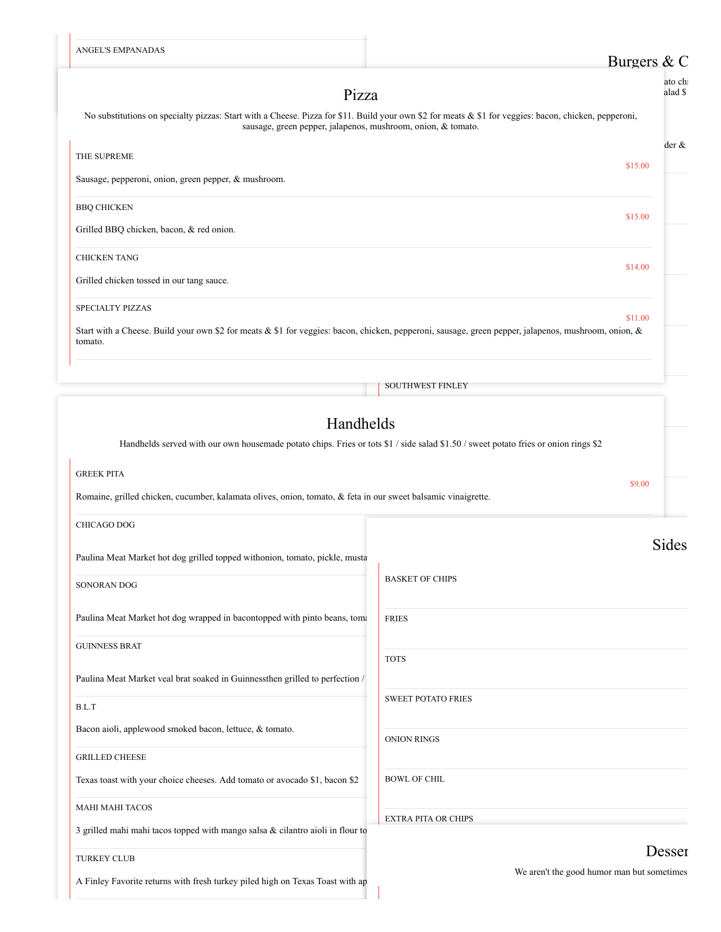| ANGEL'S EMPANADAS                                                                                                                                                                                                     | Burgers $& C$                                        |
|-----------------------------------------------------------------------------------------------------------------------------------------------------------------------------------------------------------------------|------------------------------------------------------|
|                                                                                                                                                                                                                       | ato chi                                              |
| Pizza                                                                                                                                                                                                                 | alad \$                                              |
| No substitutions on specialty pizzas: Start with a Cheese. Pizza for \$11. Build your own \$2 for meats & \$1 for veggies: bacon, chicken, pepperoni,<br>sausage, green pepper, jalapenos, mushroom, onion, & tomato. |                                                      |
| THE SUPREME                                                                                                                                                                                                           | $der \&$                                             |
| Sausage, pepperoni, onion, green pepper, & mushroom.                                                                                                                                                                  | \$15.00                                              |
| <b>BBQ CHICKEN</b>                                                                                                                                                                                                    | \$15.00                                              |
| Grilled BBQ chicken, bacon, & red onion.                                                                                                                                                                              |                                                      |
| <b>CHICKEN TANG</b>                                                                                                                                                                                                   | \$14.00                                              |
| Grilled chicken tossed in our tang sauce.                                                                                                                                                                             |                                                      |
| SPECIALTY PIZZAS                                                                                                                                                                                                      | \$11.00                                              |
| Start with a Cheese. Build your own \$2 for meats & \$1 for veggies: bacon, chicken, pepperoni, sausage, green pepper, jalapenos, mushroom, onion, &<br>tomato.                                                       |                                                      |
|                                                                                                                                                                                                                       | <b>SOUTHWEST FINLEY</b>                              |
|                                                                                                                                                                                                                       |                                                      |
| Handhelds                                                                                                                                                                                                             |                                                      |
| Handhelds served with our own housemade potato chips. Fries or tots \$1 / side salad \$1.50 / sweet potato fries or onion rings \$2                                                                                   |                                                      |
| <b>GREEK PITA</b>                                                                                                                                                                                                     | \$9.00                                               |
| Romaine, grilled chicken, cucumber, kalamata olives, onion, tomato, & feta in our sweet balsamic vinaigrette.                                                                                                         |                                                      |
| <b>CHICAGO DOG</b>                                                                                                                                                                                                    |                                                      |
| Paulina Meat Market hot dog grilled topped withonion, tomato, pickle, musta                                                                                                                                           | Sides                                                |
| SONORAN DOG                                                                                                                                                                                                           | <b>BASKET OF CHIPS</b>                               |
| Paulina Meat Market hot dog wrapped in bacontopped with pinto beans, tom:                                                                                                                                             | <b>FRIES</b>                                         |
| <b>GUINNESS BRAT</b>                                                                                                                                                                                                  |                                                      |
|                                                                                                                                                                                                                       | <b>TOTS</b>                                          |
| Paulina Meat Market veal brat soaked in Guinnessthen grilled to perfection /                                                                                                                                          |                                                      |
| B.L.T                                                                                                                                                                                                                 | <b>SWEET POTATO FRIES</b>                            |
| Bacon aioli, applewood smoked bacon, lettuce, & tomato.                                                                                                                                                               | <b>ONION RINGS</b>                                   |
| <b>GRILLED CHEESE</b>                                                                                                                                                                                                 |                                                      |
| Texas toast with your choice cheeses. Add tomato or avocado \$1, bacon \$2                                                                                                                                            | <b>BOWL OF CHIL</b>                                  |
| <b>MAHI MAHI TACOS</b>                                                                                                                                                                                                | <b>EXTRA PITA OR CHIPS</b>                           |
| 3 grilled mahi mahi tacos topped with mango salsa & cilantro aioli in flour to                                                                                                                                        |                                                      |
| <b>TURKEY CLUB</b>                                                                                                                                                                                                    | Desser<br>We aren't the good humor man but sometimes |
| A Finley Favorite returns with fresh turkey piled high on Texas Toast with ap                                                                                                                                         |                                                      |